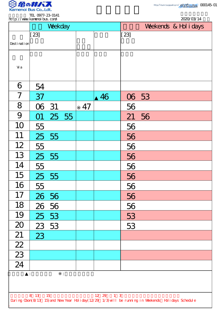

2020/03/14

TEL 0977-23-0141 http://www.kamenoibus.com/

|                                                                                                    |        | Weekday |                                 |    |    | Weekends & Hol i days |       |  |  |  |  |  |  |
|----------------------------------------------------------------------------------------------------|--------|---------|---------------------------------|----|----|-----------------------|-------|--|--|--|--|--|--|
|                                                                                                    | $[23]$ |         |                                 |    |    | [23]                  |       |  |  |  |  |  |  |
| Desti nati on                                                                                      |        |         |                                 |    |    |                       |       |  |  |  |  |  |  |
|                                                                                                    |        |         |                                 |    |    |                       |       |  |  |  |  |  |  |
| Vi a                                                                                               |        |         |                                 |    |    |                       |       |  |  |  |  |  |  |
|                                                                                                    |        |         |                                 |    |    |                       |       |  |  |  |  |  |  |
| 6                                                                                                  | 54     |         |                                 |    |    |                       |       |  |  |  |  |  |  |
| $\overline{7}$                                                                                     | 37     |         |                                 |    | 46 |                       | 06 53 |  |  |  |  |  |  |
| 8                                                                                                  | 06 31  |         |                                 | 47 |    | 56                    |       |  |  |  |  |  |  |
| 9                                                                                                  | O1     | 25 55   |                                 |    |    | 21                    | 56    |  |  |  |  |  |  |
| 10                                                                                                 | 55     |         |                                 |    |    | 56                    |       |  |  |  |  |  |  |
| 11                                                                                                 |        | 25 55   |                                 |    |    | 56                    |       |  |  |  |  |  |  |
| 12                                                                                                 | 55     |         |                                 |    |    | 56                    |       |  |  |  |  |  |  |
| 13                                                                                                 | 25     | 55      |                                 |    |    | 56                    |       |  |  |  |  |  |  |
| 14                                                                                                 | 55     |         |                                 |    |    | 56                    |       |  |  |  |  |  |  |
| 15                                                                                                 |        | 25 55   |                                 |    |    | 56                    |       |  |  |  |  |  |  |
| 16                                                                                                 | 55     |         |                                 |    |    | 56                    |       |  |  |  |  |  |  |
| 17                                                                                                 |        | 26 56   |                                 |    |    | 56                    |       |  |  |  |  |  |  |
| 18                                                                                                 |        | 26 56   |                                 |    |    | 56                    |       |  |  |  |  |  |  |
| 19                                                                                                 |        | 25 53   |                                 |    |    | 53                    |       |  |  |  |  |  |  |
| 20                                                                                                 |        | 23 53   |                                 |    |    | 53                    |       |  |  |  |  |  |  |
| 21                                                                                                 | 23     |         |                                 |    |    |                       |       |  |  |  |  |  |  |
| $\frac{1}{22}$                                                                                     |        |         |                                 |    |    |                       |       |  |  |  |  |  |  |
| $\overline{23}$                                                                                    |        |         |                                 |    |    |                       |       |  |  |  |  |  |  |
| $\overline{24}$                                                                                    |        |         |                                 |    |    |                       |       |  |  |  |  |  |  |
|                                                                                                    | ÷.     |         | $\ddot{\ddot{\phantom{0}}}_\nu$ |    |    |                       |       |  |  |  |  |  |  |
|                                                                                                    |        |         |                                 |    |    |                       |       |  |  |  |  |  |  |
| 1 <sup>3</sup><br>8 13<br>15<br>12 29                                                              |        |         |                                 |    |    |                       |       |  |  |  |  |  |  |
| During Cbon(8/13 15) and New Year Holiday(12/29 1/3) will be running in Weekends Holidays Schedule |        |         |                                 |    |    |                       |       |  |  |  |  |  |  |